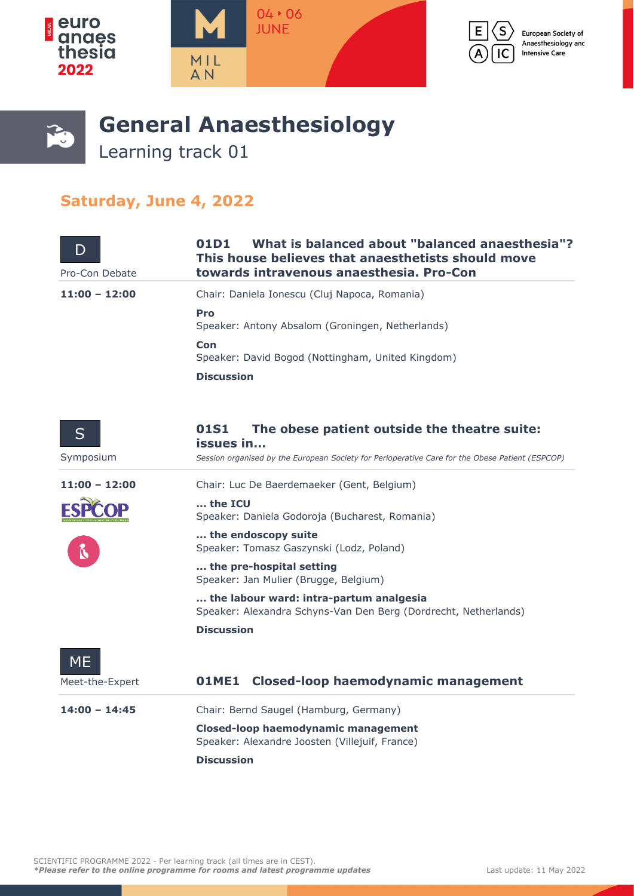







## **General Anaesthesiology**

Learning track 01

## **Saturday, June 4, 2022**

| Pro-Con Debate  | What is balanced about "balanced anaesthesia"?<br>01D1<br>This house believes that anaesthetists should move<br>towards intravenous anaesthesia. Pro-Con |
|-----------------|----------------------------------------------------------------------------------------------------------------------------------------------------------|
| $11:00 - 12:00$ | Chair: Daniela Ionescu (Cluj Napoca, Romania)                                                                                                            |
|                 | Pro<br>Speaker: Antony Absalom (Groningen, Netherlands)                                                                                                  |
|                 | Con<br>Speaker: David Bogod (Nottingham, United Kingdom)                                                                                                 |
|                 | <b>Discussion</b>                                                                                                                                        |
| $\mathsf{S}$    | The obese patient outside the theatre suite:<br>01S1<br>issues in                                                                                        |
| Symposium       | Session organised by the European Society for Perioperative Care for the Obese Patient (ESPCOP)                                                          |
| $11:00 - 12:00$ | Chair: Luc De Baerdemaeker (Gent, Belgium)                                                                                                               |

**... the ICU** Speaker: Daniela Godoroja (Bucharest, Romania)

**... the endoscopy suite** Speaker: Tomasz Gaszynski (Lodz, Poland)

**... the pre-hospital setting** Speaker: Jan Mulier (Brugge, Belgium)

**... the labour ward: intra-partum analgesia** Speaker: Alexandra Schyns-Van Den Berg (Dordrecht, Netherlands) **Discussion**

01ME1 Closed-loop haemodynamic management **14:00 – 14:45** Chair: Bernd Saugel (Hamburg, Germany) ME Meet-the-Expert

**Closed-loop haemodynamic management** Speaker: Alexandre Joosten (Villejuif, France) **Discussion**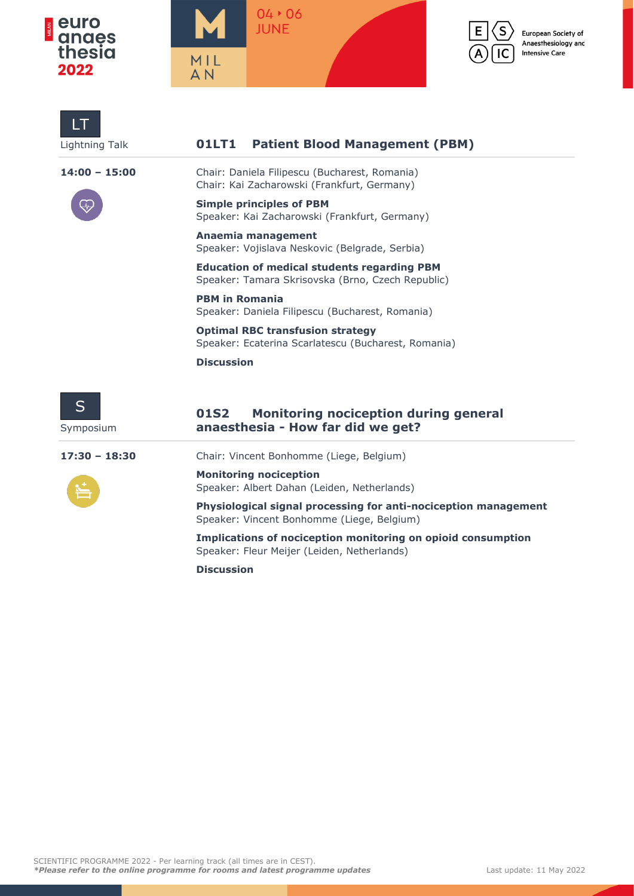

LT





European Society of Anaesthesiology and **Intensive Care** 

| <b>Lightning Talk</b> | <b>Patient Blood Management (PBM)</b><br>01LT1                                                                |
|-----------------------|---------------------------------------------------------------------------------------------------------------|
| $14:00 - 15:00$       | Chair: Daniela Filipescu (Bucharest, Romania)<br>Chair: Kai Zacharowski (Frankfurt, Germany)                  |
|                       | <b>Simple principles of PBM</b><br>Speaker: Kai Zacharowski (Frankfurt, Germany)                              |
|                       | Anaemia management<br>Speaker: Vojislava Neskovic (Belgrade, Serbia)                                          |
|                       | <b>Education of medical students regarding PBM</b><br>Speaker: Tamara Skrisovska (Brno, Czech Republic)       |
|                       | <b>PBM in Romania</b><br>Speaker: Daniela Filipescu (Bucharest, Romania)                                      |
|                       | <b>Optimal RBC transfusion strategy</b><br>Speaker: Ecaterina Scarlatescu (Bucharest, Romania)                |
|                       | <b>Discussion</b>                                                                                             |
| S<br>Symposium        | 01S2<br><b>Monitoring nociception during general</b><br>anaesthesia - How far did we get?                     |
| $17:30 - 18:30$       | Chair: Vincent Bonhomme (Liege, Belgium)                                                                      |
|                       | <b>Monitoring nociception</b><br>Speaker: Albert Dahan (Leiden, Netherlands)                                  |
|                       | Physiological signal processing for anti-nociception management<br>Speaker: Vincent Bonhomme (Liege, Belgium) |
|                       | Implications of nociception monitoring on opioid consumption<br>Speaker: Fleur Meijer (Leiden, Netherlands)   |
|                       | <b>Discussion</b>                                                                                             |

SCIENTIFIC PROGRAMME 2022 - Per learning track (all times are in CEST). *\*Please refer to the online programme for rooms and latest programme updates* Last update: 11 May 2022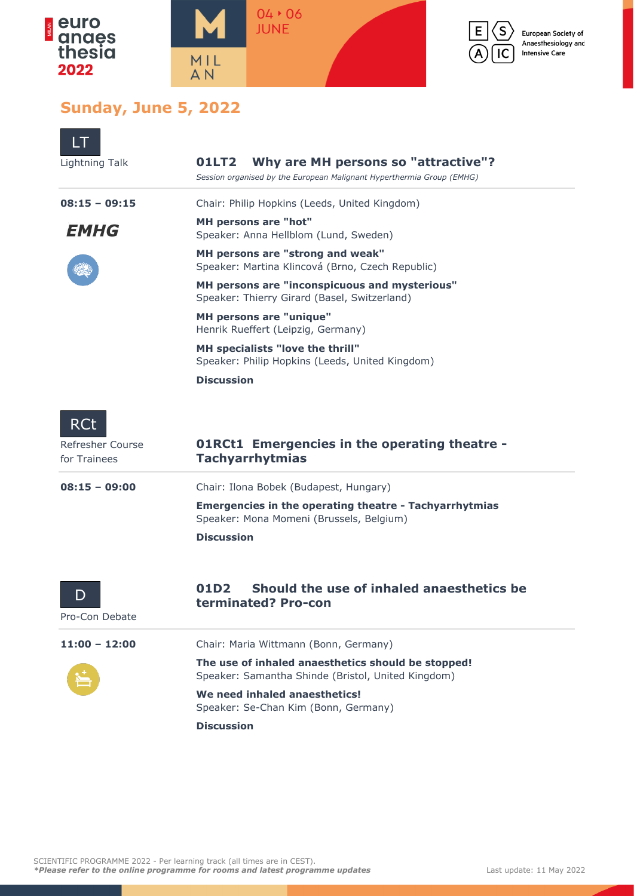





S

IC

European Society of Anaesthesiology and **Intensive Care** 

## **Sunday, June 5, 2022**

| Lightning Talk                                 | Why are MH persons so "attractive"?<br>01LT2<br>Session organised by the European Malignant Hyperthermia Group (EMHG)          |
|------------------------------------------------|--------------------------------------------------------------------------------------------------------------------------------|
| $08:15 - 09:15$                                | Chair: Philip Hopkins (Leeds, United Kingdom)                                                                                  |
| EMHG                                           | <b>MH persons are "hot"</b><br>Speaker: Anna Hellblom (Lund, Sweden)                                                           |
|                                                | MH persons are "strong and weak"<br>Speaker: Martina Klincová (Brno, Czech Republic)                                           |
|                                                | MH persons are "inconspicuous and mysterious"<br>Speaker: Thierry Girard (Basel, Switzerland)                                  |
|                                                | <b>MH persons are "unique"</b><br>Henrik Rueffert (Leipzig, Germany)                                                           |
|                                                | MH specialists "love the thrill"<br>Speaker: Philip Hopkins (Leeds, United Kingdom)                                            |
|                                                | <b>Discussion</b>                                                                                                              |
| <b>RCt</b><br>Refresher Course<br>for Trainees | <b>O1RCt1</b> Emergencies in the operating theatre -<br><b>Tachyarrhytmias</b>                                                 |
| $08:15 - 09:00$                                | Chair: Ilona Bobek (Budapest, Hungary)                                                                                         |
|                                                | <b>Emergencies in the operating theatre - Tachyarrhytmias</b><br>Speaker: Mona Momeni (Brussels, Belgium)<br><b>Discussion</b> |
| D<br>Pro-Con Debate                            | Should the use of inhaled anaesthetics be<br>01D2<br>terminated? Pro-con                                                       |
| 11:00 - 12:00                                  | Chair: Maria Wittmann (Bonn, Germany)                                                                                          |
|                                                | The use of inhaled anaesthetics should be stopped!<br>Speaker: Samantha Shinde (Bristol, United Kingdom)                       |
|                                                | We need inhaled anaesthetics!<br>Speaker: Se-Chan Kim (Bonn, Germany)                                                          |
|                                                |                                                                                                                                |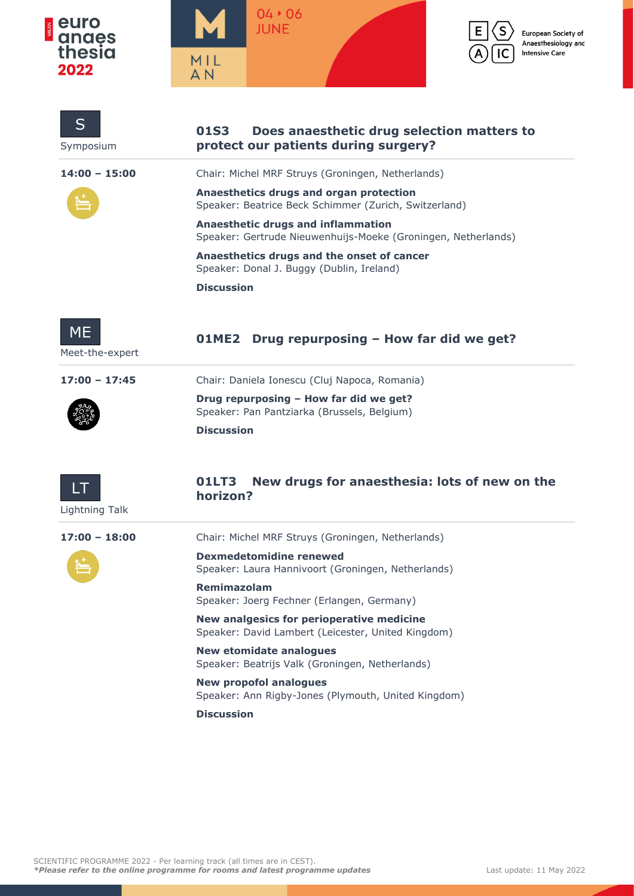





 $\mathsf{s}$ 

IC



| S<br>Symposium               | 01S3<br>Does anaesthetic drug selection matters to<br>protect our patients during surgery?                 |
|------------------------------|------------------------------------------------------------------------------------------------------------|
| $14:00 - 15:00$              | Chair: Michel MRF Struys (Groningen, Netherlands)                                                          |
|                              | Anaesthetics drugs and organ protection<br>Speaker: Beatrice Beck Schimmer (Zurich, Switzerland)           |
|                              | <b>Anaesthetic drugs and inflammation</b><br>Speaker: Gertrude Nieuwenhuijs-Moeke (Groningen, Netherlands) |
|                              | Anaesthetics drugs and the onset of cancer<br>Speaker: Donal J. Buggy (Dublin, Ireland)                    |
|                              | <b>Discussion</b>                                                                                          |
| <b>ME</b><br>Meet-the-expert | Drug repurposing - How far did we get?<br>01ME2                                                            |
| $17:00 - 17:45$              | Chair: Daniela Ionescu (Cluj Napoca, Romania)                                                              |
|                              | Drug repurposing - How far did we get?<br>Speaker: Pan Pantziarka (Brussels, Belgium)                      |
|                              | <b>Discussion</b>                                                                                          |
| LT<br><b>Lightning Talk</b>  | New drugs for anaesthesia: lots of new on the<br>01LT3<br>horizon?                                         |
| $17:00 - 18:00$              | Chair: Michel MRF Struys (Groningen, Netherlands)                                                          |
|                              | <b>Dexmedetomidine renewed</b><br>Speaker: Laura Hannivoort (Groningen, Netherlands)                       |
|                              | Remimazolam<br>Speaker: Joerg Fechner (Erlangen, Germany)                                                  |
|                              | New analgesics for perioperative medicine<br>Speaker: David Lambert (Leicester, United Kingdom)            |
|                              | <b>New etomidate analogues</b><br>Speaker: Beatrijs Valk (Groningen, Netherlands)                          |
|                              | <b>New propofol analogues</b><br>Speaker: Ann Rigby-Jones (Plymouth, United Kingdom)                       |
|                              | <b>Discussion</b>                                                                                          |
|                              |                                                                                                            |
|                              |                                                                                                            |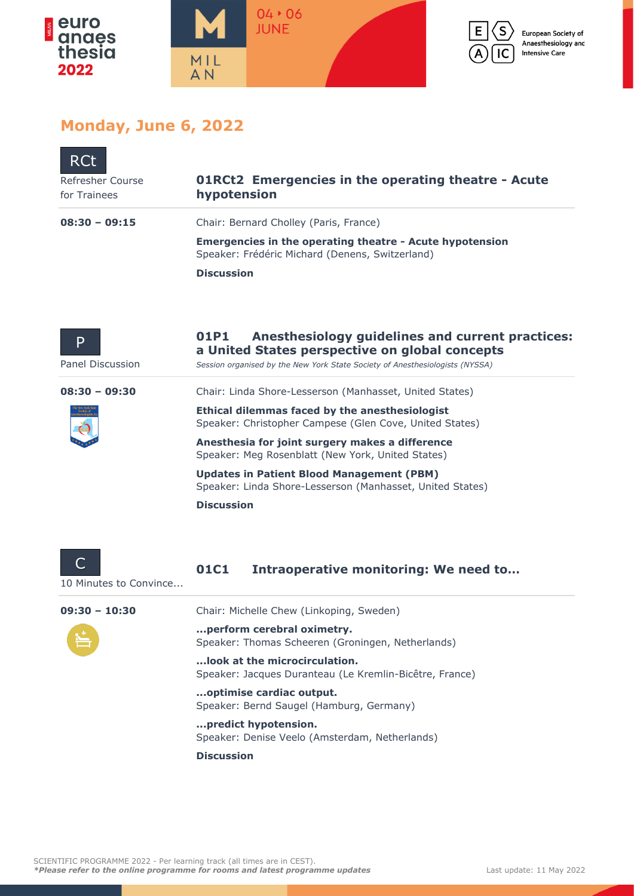



## **Monday, June 6, 2022**

| <b>RCt</b><br>Refresher Course<br>for Trainees | <b>O1RCt2</b> Emergencies in the operating theatre - Acute<br>hypotension                                          |
|------------------------------------------------|--------------------------------------------------------------------------------------------------------------------|
| $08:30 - 09:15$                                | Chair: Bernard Cholley (Paris, France)                                                                             |
|                                                | <b>Emergencies in the operating theatre - Acute hypotension</b><br>Speaker: Frédéric Michard (Denens, Switzerland) |
|                                                | <b>Discussion</b>                                                                                                  |
|                                                |                                                                                                                    |
|                                                | Anasthaalalaan anidalinaa sud anuvant nusatiaaan<br>61 R.I                                                         |

| D<br>Panel Discussion | UIPI<br>Anesthesiology guidelines and current practices:<br>a United States perspective on global concepts<br>Session organised by the New York State Society of Anesthesiologists (NYSSA) |
|-----------------------|--------------------------------------------------------------------------------------------------------------------------------------------------------------------------------------------|
| $08:30 - 09:30$       | Chair: Linda Shore-Lesserson (Manhasset, United States)                                                                                                                                    |
|                       | Ethical dilemmas faced by the anesthesiologist<br>Speaker: Christopher Campese (Glen Cove, United States)                                                                                  |
|                       | Anesthesia for joint surgery makes a difference<br>Speaker: Meg Rosenblatt (New York, United States)                                                                                       |
|                       | <b>Updates in Patient Blood Management (PBM)</b><br>Speaker: Linda Shore-Lesserson (Manhasset, United States)                                                                              |
|                       | <b>Discussion</b>                                                                                                                                                                          |
|                       |                                                                                                                                                                                            |
|                       | Intraoperative monitoring: We need to<br>01 C 1                                                                                                                                            |

10 Minutes to Convince...

**09:30 – 10:30** Chair: Michelle Chew (Linkoping, Sweden)

**...perform cerebral oximetry.** Speaker: Thomas Scheeren (Groningen, Netherlands)

**...look at the microcirculation.** Speaker: Jacques Duranteau (Le Kremlin-Bicêtre, France)

**...optimise cardiac output.** Speaker: Bernd Saugel (Hamburg, Germany)

**...predict hypotension.** Speaker: Denise Veelo (Amsterdam, Netherlands)

**Discussion**